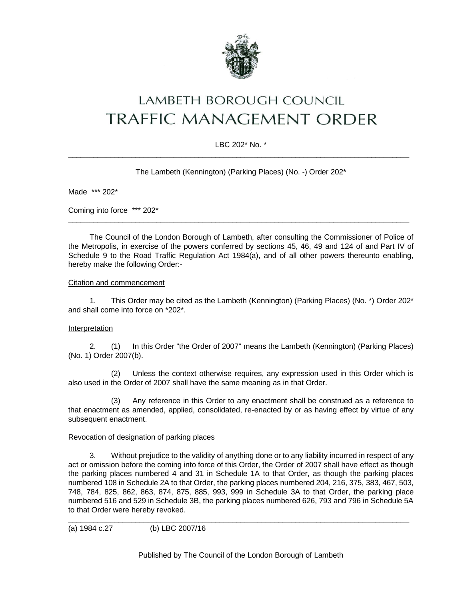

# LAMBETH BOROUGH COUNCIL **TRAFFIC MANAGEMENT ORDER**

## LBC 202\* No. \*  $\_$  ,  $\_$  ,  $\_$  ,  $\_$  ,  $\_$  ,  $\_$  ,  $\_$  ,  $\_$  ,  $\_$  ,  $\_$  ,  $\_$  ,  $\_$  ,  $\_$  ,  $\_$  ,  $\_$  ,  $\_$  ,  $\_$  ,  $\_$  ,  $\_$  ,  $\_$  ,  $\_$  ,  $\_$  ,  $\_$  ,  $\_$  ,  $\_$  ,  $\_$  ,  $\_$  ,  $\_$  ,  $\_$  ,  $\_$  ,  $\_$  ,  $\_$  ,  $\_$  ,  $\_$  ,  $\_$  ,  $\_$  ,  $\_$  ,

The Lambeth (Kennington) (Parking Places) (No. -) Order 202\*

Made \*\*\* 202\*

Coming into force \*\*\* 202\*

The Council of the London Borough of Lambeth, after consulting the Commissioner of Police of the Metropolis, in exercise of the powers conferred by sections 45, 46, 49 and 124 of and Part IV of Schedule 9 to the Road Traffic Regulation Act 1984(a), and of all other powers thereunto enabling, hereby make the following Order:-

 $\_$  ,  $\_$  ,  $\_$  ,  $\_$  ,  $\_$  ,  $\_$  ,  $\_$  ,  $\_$  ,  $\_$  ,  $\_$  ,  $\_$  ,  $\_$  ,  $\_$  ,  $\_$  ,  $\_$  ,  $\_$  ,  $\_$  ,  $\_$  ,  $\_$  ,  $\_$  ,  $\_$  ,  $\_$  ,  $\_$  ,  $\_$  ,  $\_$  ,  $\_$  ,  $\_$  ,  $\_$  ,  $\_$  ,  $\_$  ,  $\_$  ,  $\_$  ,  $\_$  ,  $\_$  ,  $\_$  ,  $\_$  ,  $\_$  ,

## Citation and commencement

1. This Order may be cited as the Lambeth (Kennington) (Parking Places) (No. \*) Order 202\* and shall come into force on \*202\*.

### Interpretation

2. (1) In this Order "the Order of 2007" means the Lambeth (Kennington) (Parking Places) (No. 1) Order 2007(b).

(2) Unless the context otherwise requires, any expression used in this Order which is also used in the Order of 2007 shall have the same meaning as in that Order.

(3) Any reference in this Order to any enactment shall be construed as a reference to that enactment as amended, applied, consolidated, re-enacted by or as having effect by virtue of any subsequent enactment.

# Revocation of designation of parking places

3. Without prejudice to the validity of anything done or to any liability incurred in respect of any act or omission before the coming into force of this Order, the Order of 2007 shall have effect as though the parking places numbered 4 and 31 in Schedule 1A to that Order, as though the parking places numbered 108 in Schedule 2A to that Order, the parking places numbered 204, 216, 375, 383, 467, 503, 748, 784, 825, 862, 863, 874, 875, 885, 993, 999 in Schedule 3A to that Order, the parking place numbered 516 and 529 in Schedule 3B, the parking places numbered 626, 793 and 796 in Schedule 5A to that Order were hereby revoked.

```
(a) 1984 c.27 (b) LBC 2007/16
```
Published by The Council of the London Borough of Lambeth

\_\_\_\_\_\_\_\_\_\_\_\_\_\_\_\_\_\_\_\_\_\_\_\_\_\_\_\_\_\_\_\_\_\_\_\_\_\_\_\_\_\_\_\_\_\_\_\_\_\_\_\_\_\_\_\_\_\_\_\_\_\_\_\_\_\_\_\_\_\_\_\_\_\_\_\_\_\_\_\_\_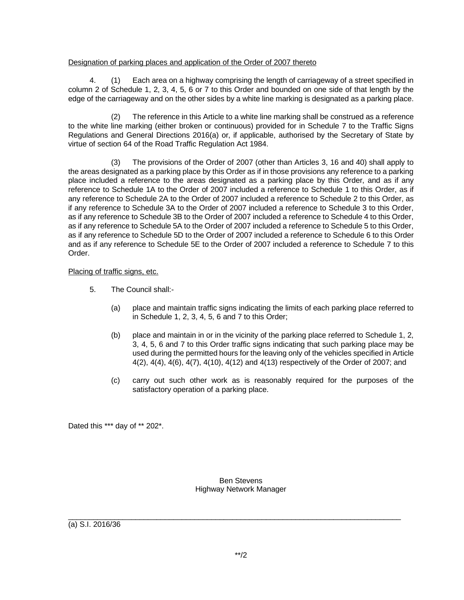## Designation of parking places and application of the Order of 2007 thereto

4. (1) Each area on a highway comprising the length of carriageway of a street specified in column 2 of Schedule 1, 2, 3, 4, 5, 6 or 7 to this Order and bounded on one side of that length by the edge of the carriageway and on the other sides by a white line marking is designated as a parking place.

(2) The reference in this Article to a white line marking shall be construed as a reference to the white line marking (either broken or continuous) provided for in Schedule 7 to the Traffic Signs Regulations and General Directions 2016(a) or, if applicable, authorised by the Secretary of State by virtue of section 64 of the Road Traffic Regulation Act 1984.

(3) The provisions of the Order of 2007 (other than Articles 3, 16 and 40) shall apply to the areas designated as a parking place by this Order as if in those provisions any reference to a parking place included a reference to the areas designated as a parking place by this Order, and as if any reference to Schedule 1A to the Order of 2007 included a reference to Schedule 1 to this Order, as if any reference to Schedule 2A to the Order of 2007 included a reference to Schedule 2 to this Order, as if any reference to Schedule 3A to the Order of 2007 included a reference to Schedule 3 to this Order, as if any reference to Schedule 3B to the Order of 2007 included a reference to Schedule 4 to this Order, as if any reference to Schedule 5A to the Order of 2007 included a reference to Schedule 5 to this Order, as if any reference to Schedule 5D to the Order of 2007 included a reference to Schedule 6 to this Order and as if any reference to Schedule 5E to the Order of 2007 included a reference to Schedule 7 to this Order.

# Placing of traffic signs, etc.

- 5. The Council shall:-
	- (a) place and maintain traffic signs indicating the limits of each parking place referred to in Schedule 1, 2, 3, 4, 5, 6 and 7 to this Order;
	- (b) place and maintain in or in the vicinity of the parking place referred to Schedule 1, 2, 3, 4, 5, 6 and 7 to this Order traffic signs indicating that such parking place may be used during the permitted hours for the leaving only of the vehicles specified in Article 4(2), 4(4), 4(6), 4(7), 4(10), 4(12) and 4(13) respectively of the Order of 2007; and
	- (c) carry out such other work as is reasonably required for the purposes of the satisfactory operation of a parking place.

Dated this \*\*\* day of \*\* 202\*.

Ben Stevens Highway Network Manager

 $\_$  ,  $\_$  ,  $\_$  ,  $\_$  ,  $\_$  ,  $\_$  ,  $\_$  ,  $\_$  ,  $\_$  ,  $\_$  ,  $\_$  ,  $\_$  ,  $\_$  ,  $\_$  ,  $\_$  ,  $\_$  ,  $\_$  ,  $\_$  ,  $\_$  ,  $\_$  ,  $\_$  ,  $\_$  ,  $\_$  ,  $\_$  ,  $\_$  ,  $\_$  ,  $\_$  ,  $\_$  ,  $\_$  ,  $\_$  ,  $\_$  ,  $\_$  ,  $\_$  ,  $\_$  ,  $\_$  ,  $\_$  ,  $\_$  ,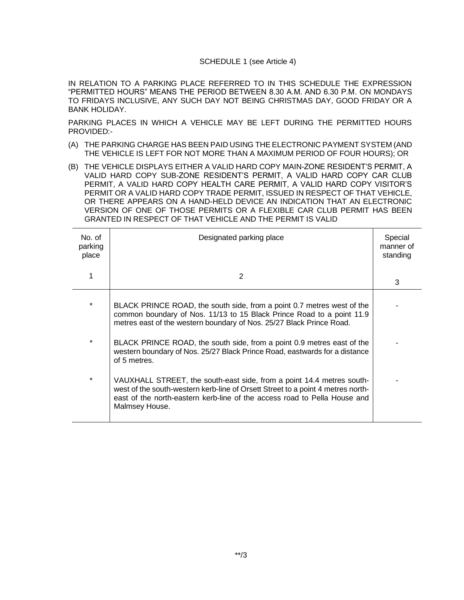#### SCHEDULE 1 (see Article 4)

IN RELATION TO A PARKING PLACE REFERRED TO IN THIS SCHEDULE THE EXPRESSION "PERMITTED HOURS" MEANS THE PERIOD BETWEEN 8.30 A.M. AND 6.30 P.M. ON MONDAYS TO FRIDAYS INCLUSIVE, ANY SUCH DAY NOT BEING CHRISTMAS DAY, GOOD FRIDAY OR A BANK HOLIDAY.

PARKING PLACES IN WHICH A VEHICLE MAY BE LEFT DURING THE PERMITTED HOURS PROVIDED:-

- (A) THE PARKING CHARGE HAS BEEN PAID USING THE ELECTRONIC PAYMENT SYSTEM (AND THE VEHICLE IS LEFT FOR NOT MORE THAN A MAXIMUM PERIOD OF FOUR HOURS); OR
- (B) THE VEHICLE DISPLAYS EITHER A VALID HARD COPY MAIN-ZONE RESIDENT'S PERMIT, A VALID HARD COPY SUB-ZONE RESIDENT'S PERMIT, A VALID HARD COPY CAR CLUB PERMIT, A VALID HARD COPY HEALTH CARE PERMIT, A VALID HARD COPY VISITOR'S PERMIT OR A VALID HARD COPY TRADE PERMIT, ISSUED IN RESPECT OF THAT VEHICLE, OR THERE APPEARS ON A HAND-HELD DEVICE AN INDICATION THAT AN ELECTRONIC VERSION OF ONE OF THOSE PERMITS OR A FLEXIBLE CAR CLUB PERMIT HAS BEEN GRANTED IN RESPECT OF THAT VEHICLE AND THE PERMIT IS VALID

| No. of<br>parking<br>place | Designated parking place                                                                                                                                                                                                                                | Special<br>manner of<br>standing |
|----------------------------|---------------------------------------------------------------------------------------------------------------------------------------------------------------------------------------------------------------------------------------------------------|----------------------------------|
| 1                          | 2                                                                                                                                                                                                                                                       | 3                                |
| $\star$                    | BLACK PRINCE ROAD, the south side, from a point 0.7 metres west of the<br>common boundary of Nos. 11/13 to 15 Black Prince Road to a point 11.9<br>metres east of the western boundary of Nos. 25/27 Black Prince Road.                                 |                                  |
| $\star$                    | BLACK PRINCE ROAD, the south side, from a point 0.9 metres east of the<br>western boundary of Nos. 25/27 Black Prince Road, eastwards for a distance<br>of 5 metres.                                                                                    |                                  |
| $\star$                    | VAUXHALL STREET, the south-east side, from a point 14.4 metres south-<br>west of the south-western kerb-line of Orsett Street to a point 4 metres north-<br>east of the north-eastern kerb-line of the access road to Pella House and<br>Malmsey House. |                                  |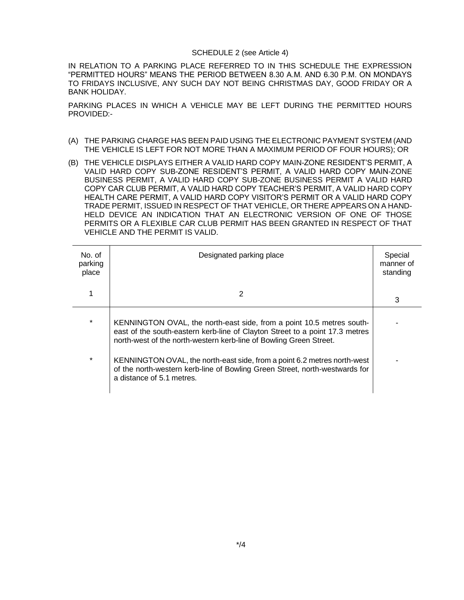#### SCHEDULE 2 (see Article 4)

IN RELATION TO A PARKING PLACE REFERRED TO IN THIS SCHEDULE THE EXPRESSION "PERMITTED HOURS" MEANS THE PERIOD BETWEEN 8.30 A.M. AND 6.30 P.M. ON MONDAYS TO FRIDAYS INCLUSIVE, ANY SUCH DAY NOT BEING CHRISTMAS DAY, GOOD FRIDAY OR A BANK HOLIDAY.

PARKING PLACES IN WHICH A VEHICLE MAY BE LEFT DURING THE PERMITTED HOURS PROVIDED:-

- (A) THE PARKING CHARGE HAS BEEN PAID USING THE ELECTRONIC PAYMENT SYSTEM (AND THE VEHICLE IS LEFT FOR NOT MORE THAN A MAXIMUM PERIOD OF FOUR HOURS); OR
- (B) THE VEHICLE DISPLAYS EITHER A VALID HARD COPY MAIN-ZONE RESIDENT'S PERMIT, A VALID HARD COPY SUB-ZONE RESIDENT'S PERMIT, A VALID HARD COPY MAIN-ZONE BUSINESS PERMIT, A VALID HARD COPY SUB-ZONE BUSINESS PERMIT A VALID HARD COPY CAR CLUB PERMIT, A VALID HARD COPY TEACHER'S PERMIT, A VALID HARD COPY HEALTH CARE PERMIT, A VALID HARD COPY VISITOR'S PERMIT OR A VALID HARD COPY TRADE PERMIT, ISSUED IN RESPECT OF THAT VEHICLE, OR THERE APPEARS ON A HAND-HELD DEVICE AN INDICATION THAT AN ELECTRONIC VERSION OF ONE OF THOSE PERMITS OR A FLEXIBLE CAR CLUB PERMIT HAS BEEN GRANTED IN RESPECT OF THAT VEHICLE AND THE PERMIT IS VALID.

| $No$ of<br>parking<br>place | Designated parking place                                                                                                                                                                                                    | Special<br>manner of<br>standing |
|-----------------------------|-----------------------------------------------------------------------------------------------------------------------------------------------------------------------------------------------------------------------------|----------------------------------|
|                             |                                                                                                                                                                                                                             | 3                                |
| $\star$                     | KENNINGTON OVAL, the north-east side, from a point 10.5 metres south-<br>east of the south-eastern kerb-line of Clayton Street to a point 17.3 metres<br>north-west of the north-western kerb-line of Bowling Green Street. |                                  |
| $\star$                     | KENNINGTON OVAL, the north-east side, from a point 6.2 metres north-west<br>of the north-western kerb-line of Bowling Green Street, north-westwards for<br>a distance of 5.1 metres.                                        |                                  |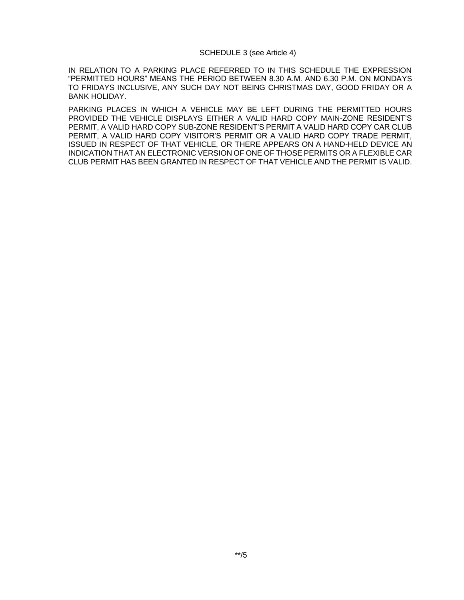#### SCHEDULE 3 (see Article 4)

IN RELATION TO A PARKING PLACE REFERRED TO IN THIS SCHEDULE THE EXPRESSION "PERMITTED HOURS" MEANS THE PERIOD BETWEEN 8.30 A.M. AND 6.30 P.M. ON MONDAYS TO FRIDAYS INCLUSIVE, ANY SUCH DAY NOT BEING CHRISTMAS DAY, GOOD FRIDAY OR A BANK HOLIDAY.

PARKING PLACES IN WHICH A VEHICLE MAY BE LEFT DURING THE PERMITTED HOURS PROVIDED THE VEHICLE DISPLAYS EITHER A VALID HARD COPY MAIN-ZONE RESIDENT'S PERMIT, A VALID HARD COPY SUB-ZONE RESIDENT'S PERMIT A VALID HARD COPY CAR CLUB PERMIT, A VALID HARD COPY VISITOR'S PERMIT OR A VALID HARD COPY TRADE PERMIT, ISSUED IN RESPECT OF THAT VEHICLE, OR THERE APPEARS ON A HAND-HELD DEVICE AN INDICATION THAT AN ELECTRONIC VERSION OF ONE OF THOSE PERMITS OR A FLEXIBLE CAR CLUB PERMIT HAS BEEN GRANTED IN RESPECT OF THAT VEHICLE AND THE PERMIT IS VALID.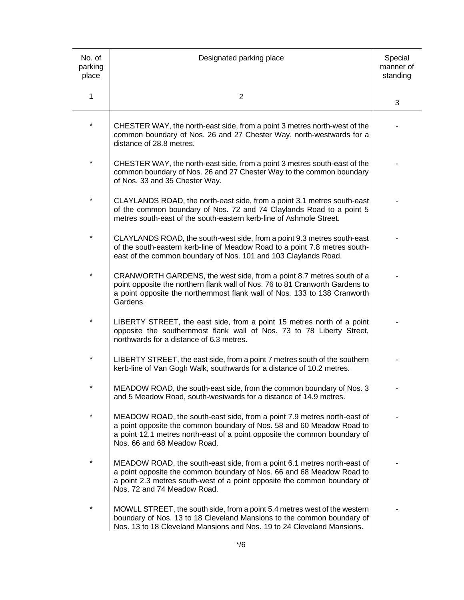| No. of<br>parking<br>place | Designated parking place                                                                                                                                                                                                                                     | Special<br>manner of<br>standing |
|----------------------------|--------------------------------------------------------------------------------------------------------------------------------------------------------------------------------------------------------------------------------------------------------------|----------------------------------|
| 1                          | $\overline{2}$                                                                                                                                                                                                                                               | 3                                |
| $\star$                    | CHESTER WAY, the north-east side, from a point 3 metres north-west of the<br>common boundary of Nos. 26 and 27 Chester Way, north-westwards for a<br>distance of 28.8 metres.                                                                                |                                  |
| $\star$                    | CHESTER WAY, the north-east side, from a point 3 metres south-east of the<br>common boundary of Nos. 26 and 27 Chester Way to the common boundary<br>of Nos. 33 and 35 Chester Way.                                                                          |                                  |
| $^\star$                   | CLAYLANDS ROAD, the north-east side, from a point 3.1 metres south-east<br>of the common boundary of Nos. 72 and 74 Claylands Road to a point 5<br>metres south-east of the south-eastern kerb-line of Ashmole Street.                                       |                                  |
| $^\star$                   | CLAYLANDS ROAD, the south-west side, from a point 9.3 metres south-east<br>of the south-eastern kerb-line of Meadow Road to a point 7.8 metres south-<br>east of the common boundary of Nos. 101 and 103 Claylands Road.                                     |                                  |
| $^\star$                   | CRANWORTH GARDENS, the west side, from a point 8.7 metres south of a<br>point opposite the northern flank wall of Nos. 76 to 81 Cranworth Gardens to<br>a point opposite the northernmost flank wall of Nos. 133 to 138 Cranworth<br>Gardens.                |                                  |
| *                          | LIBERTY STREET, the east side, from a point 15 metres north of a point<br>opposite the southernmost flank wall of Nos. 73 to 78 Liberty Street,<br>northwards for a distance of 6.3 metres.                                                                  |                                  |
| *                          | LIBERTY STREET, the east side, from a point 7 metres south of the southern<br>kerb-line of Van Gogh Walk, southwards for a distance of 10.2 metres.                                                                                                          |                                  |
| *                          | MEADOW ROAD, the south-east side, from the common boundary of Nos. 3<br>and 5 Meadow Road, south-westwards for a distance of 14.9 metres.                                                                                                                    |                                  |
| $\star$                    | MEADOW ROAD, the south-east side, from a point 7.9 metres north-east of<br>a point opposite the common boundary of Nos. 58 and 60 Meadow Road to<br>a point 12.1 metres north-east of a point opposite the common boundary of<br>Nos. 66 and 68 Meadow Road. |                                  |
| *                          | MEADOW ROAD, the south-east side, from a point 6.1 metres north-east of<br>a point opposite the common boundary of Nos. 66 and 68 Meadow Road to<br>a point 2.3 metres south-west of a point opposite the common boundary of<br>Nos. 72 and 74 Meadow Road.  |                                  |
| $\star$                    | MOWLL STREET, the south side, from a point 5.4 metres west of the western<br>boundary of Nos. 13 to 18 Cleveland Mansions to the common boundary of<br>Nos. 13 to 18 Cleveland Mansions and Nos. 19 to 24 Cleveland Mansions.                                |                                  |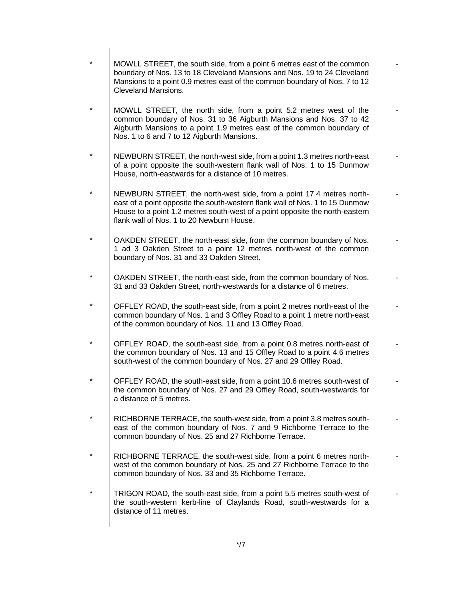| MOWLL STREET, the south side, from a point 6 metres east of the common<br>boundary of Nos. 13 to 18 Cleveland Mansions and Nos. 19 to 24 Cleveland<br>Mansions to a point 0.9 metres east of the common boundary of Nos. 7 to 12<br><b>Cleveland Mansions.</b>                    |  |
|-----------------------------------------------------------------------------------------------------------------------------------------------------------------------------------------------------------------------------------------------------------------------------------|--|
| MOWLL STREET, the north side, from a point 5.2 metres west of the<br>common boundary of Nos. 31 to 36 Aigburth Mansions and Nos. 37 to 42<br>Aigburth Mansions to a point 1.9 metres east of the common boundary of<br>Nos. 1 to 6 and 7 to 12 Aigburth Mansions.                 |  |
| NEWBURN STREET, the north-west side, from a point 1.3 metres north-east<br>of a point opposite the south-western flank wall of Nos. 1 to 15 Dunmow<br>House, north-eastwards for a distance of 10 metres.                                                                         |  |
| NEWBURN STREET, the north-west side, from a point 17.4 metres north-<br>east of a point opposite the south-western flank wall of Nos. 1 to 15 Dunmow<br>House to a point 1.2 metres south-west of a point opposite the north-eastern<br>flank wall of Nos. 1 to 20 Newburn House. |  |
| OAKDEN STREET, the north-east side, from the common boundary of Nos.<br>1 ad 3 Oakden Street to a point 12 metres north-west of the common<br>boundary of Nos. 31 and 33 Oakden Street.                                                                                           |  |
| OAKDEN STREET, the north-east side, from the common boundary of Nos.<br>31 and 33 Oakden Street, north-westwards for a distance of 6 metres.                                                                                                                                      |  |
| OFFLEY ROAD, the south-east side, from a point 2 metres north-east of the<br>common boundary of Nos. 1 and 3 Offley Road to a point 1 metre north-east<br>of the common boundary of Nos. 11 and 13 Offley Road.                                                                   |  |
| OFFLEY ROAD, the south-east side, from a point 0.8 metres north-east of<br>the common boundary of Nos. 13 and 15 Offley Road to a point 4.6 metres<br>south-west of the common boundary of Nos. 27 and 29 Offley Road.                                                            |  |
| OFFLEY ROAD, the south-east side, from a point 10.6 metres south-west of<br>the common boundary of Nos. 27 and 29 Offley Road, south-westwards for<br>a distance of 5 metres.                                                                                                     |  |
| RICHBORNE TERRACE, the south-west side, from a point 3.8 metres south-<br>east of the common boundary of Nos. 7 and 9 Richborne Terrace to the<br>common boundary of Nos. 25 and 27 Richborne Terrace.                                                                            |  |
| RICHBORNE TERRACE, the south-west side, from a point 6 metres north-<br>west of the common boundary of Nos. 25 and 27 Richborne Terrace to the<br>common boundary of Nos. 33 and 35 Richborne Terrace.                                                                            |  |
| TRIGON ROAD, the south-east side, from a point 5.5 metres south-west of<br>the south-western kerb-line of Claylands Road, south-westwards for a<br>distance of 11 metres.                                                                                                         |  |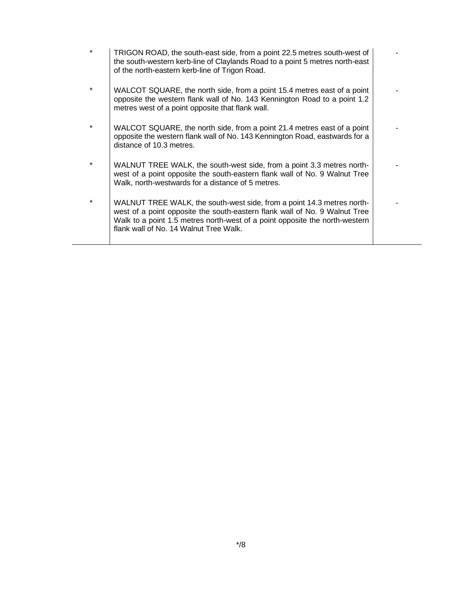| $\star$ | TRIGON ROAD, the south-east side, from a point 22.5 metres south-west of<br>the south-western kerb-line of Claylands Road to a point 5 metres north-east<br>of the north-eastern kerb-line of Trigon Road.                                                                    |  |
|---------|-------------------------------------------------------------------------------------------------------------------------------------------------------------------------------------------------------------------------------------------------------------------------------|--|
| $\star$ | WALCOT SQUARE, the north side, from a point 15.4 metres east of a point<br>opposite the western flank wall of No. 143 Kennington Road to a point 1.2<br>metres west of a point opposite that flank wall.                                                                      |  |
|         | WALCOT SQUARE, the north side, from a point 21.4 metres east of a point<br>opposite the western flank wall of No. 143 Kennington Road, eastwards for a<br>distance of 10.3 metres.                                                                                            |  |
| $\star$ | WALNUT TREE WALK, the south-west side, from a point 3.3 metres north-<br>west of a point opposite the south-eastern flank wall of No. 9 Walnut Tree<br>Walk, north-westwards for a distance of 5 metres.                                                                      |  |
| $\star$ | WALNUT TREE WALK, the south-west side, from a point 14.3 metres north-<br>west of a point opposite the south-eastern flank wall of No. 9 Walnut Tree<br>Walk to a point 1.5 metres north-west of a point opposite the north-western<br>flank wall of No. 14 Walnut Tree Walk. |  |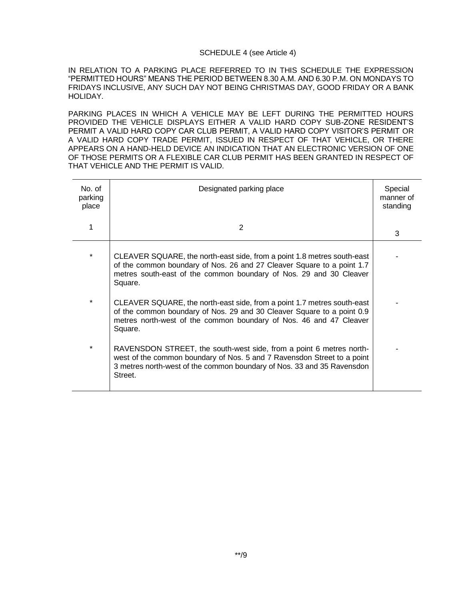### SCHEDULE 4 (see Article 4)

IN RELATION TO A PARKING PLACE REFERRED TO IN THIS SCHEDULE THE EXPRESSION "PERMITTED HOURS" MEANS THE PERIOD BETWEEN 8.30 A.M. AND 6.30 P.M. ON MONDAYS TO FRIDAYS INCLUSIVE, ANY SUCH DAY NOT BEING CHRISTMAS DAY, GOOD FRIDAY OR A BANK HOLIDAY.

PARKING PLACES IN WHICH A VEHICLE MAY BE LEFT DURING THE PERMITTED HOURS PROVIDED THE VEHICLE DISPLAYS EITHER A VALID HARD COPY SUB-ZONE RESIDENT'S PERMIT A VALID HARD COPY CAR CLUB PERMIT, A VALID HARD COPY VISITOR'S PERMIT OR A VALID HARD COPY TRADE PERMIT, ISSUED IN RESPECT OF THAT VEHICLE, OR THERE APPEARS ON A HAND-HELD DEVICE AN INDICATION THAT AN ELECTRONIC VERSION OF ONE OF THOSE PERMITS OR A FLEXIBLE CAR CLUB PERMIT HAS BEEN GRANTED IN RESPECT OF THAT VEHICLE AND THE PERMIT IS VALID.

| No. of<br>parking<br>place | Designated parking place                                                                                                                                                                                                            | Special<br>manner of<br>standing |
|----------------------------|-------------------------------------------------------------------------------------------------------------------------------------------------------------------------------------------------------------------------------------|----------------------------------|
|                            | 2                                                                                                                                                                                                                                   | 3                                |
| *                          | CLEAVER SQUARE, the north-east side, from a point 1.8 metres south-east<br>of the common boundary of Nos. 26 and 27 Cleaver Square to a point 1.7<br>metres south-east of the common boundary of Nos. 29 and 30 Cleaver<br>Square.  |                                  |
| $\star$                    | CLEAVER SQUARE, the north-east side, from a point 1.7 metres south-east<br>of the common boundary of Nos. 29 and 30 Cleaver Square to a point 0.9<br>metres north-west of the common boundary of Nos. 46 and 47 Cleaver<br>Square.  |                                  |
| $\star$                    | RAVENSDON STREET, the south-west side, from a point 6 metres north-<br>west of the common boundary of Nos. 5 and 7 Ravensdon Street to a point<br>3 metres north-west of the common boundary of Nos. 33 and 35 Ravensdon<br>Street. |                                  |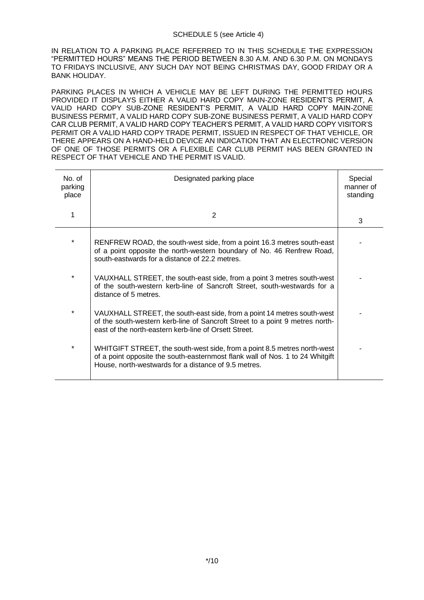### SCHEDULE 5 (see Article 4)

IN RELATION TO A PARKING PLACE REFERRED TO IN THIS SCHEDULE THE EXPRESSION "PERMITTED HOURS" MEANS THE PERIOD BETWEEN 8.30 A.M. AND 6.30 P.M. ON MONDAYS TO FRIDAYS INCLUSIVE, ANY SUCH DAY NOT BEING CHRISTMAS DAY, GOOD FRIDAY OR A BANK HOLIDAY.

PARKING PLACES IN WHICH A VEHICLE MAY BE LEFT DURING THE PERMITTED HOURS PROVIDED IT DISPLAYS EITHER A VALID HARD COPY MAIN-ZONE RESIDENT'S PERMIT, A VALID HARD COPY SUB-ZONE RESIDENT'S PERMIT, A VALID HARD COPY MAIN-ZONE BUSINESS PERMIT, A VALID HARD COPY SUB-ZONE BUSINESS PERMIT, A VALID HARD COPY CAR CLUB PERMIT, A VALID HARD COPY TEACHER'S PERMIT, A VALID HARD COPY VISITOR'S PERMIT OR A VALID HARD COPY TRADE PERMIT, ISSUED IN RESPECT OF THAT VEHICLE, OR THERE APPEARS ON A HAND-HELD DEVICE AN INDICATION THAT AN ELECTRONIC VERSION OF ONE OF THOSE PERMITS OR A FLEXIBLE CAR CLUB PERMIT HAS BEEN GRANTED IN RESPECT OF THAT VEHICLE AND THE PERMIT IS VALID.

| No. of<br>parking<br>place | Designated parking place                                                                                                                                                                                          | Special<br>manner of<br>standing |
|----------------------------|-------------------------------------------------------------------------------------------------------------------------------------------------------------------------------------------------------------------|----------------------------------|
| 1                          | 2                                                                                                                                                                                                                 | 3                                |
| $\star$                    | RENFREW ROAD, the south-west side, from a point 16.3 metres south-east<br>of a point opposite the north-western boundary of No. 46 Renfrew Road,<br>south-eastwards for a distance of 22.2 metres.                |                                  |
| $\star$                    | VAUXHALL STREET, the south-east side, from a point 3 metres south-west<br>of the south-western kerb-line of Sancroft Street, south-westwards for a<br>distance of 5 metres.                                       |                                  |
| $\star$                    | VAUXHALL STREET, the south-east side, from a point 14 metres south-west<br>of the south-western kerb-line of Sancroft Street to a point 9 metres north-<br>east of the north-eastern kerb-line of Orsett Street.  |                                  |
| $^\star$                   | WHITGIFT STREET, the south-west side, from a point 8.5 metres north-west<br>of a point opposite the south-easternmost flank wall of Nos. 1 to 24 Whitgift<br>House, north-westwards for a distance of 9.5 metres. |                                  |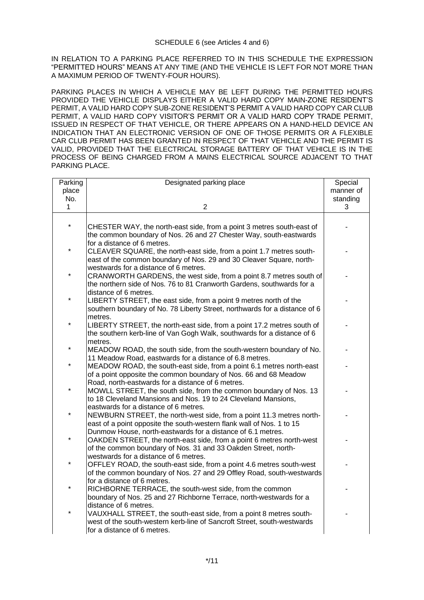IN RELATION TO A PARKING PLACE REFERRED TO IN THIS SCHEDULE THE EXPRESSION "PERMITTED HOURS" MEANS AT ANY TIME (AND THE VEHICLE IS LEFT FOR NOT MORE THAN A MAXIMUM PERIOD OF TWENTY-FOUR HOURS).

PARKING PLACES IN WHICH A VEHICLE MAY BE LEFT DURING THE PERMITTED HOURS PROVIDED THE VEHICLE DISPLAYS EITHER A VALID HARD COPY MAIN-ZONE RESIDENT'S PERMIT, A VALID HARD COPY SUB-ZONE RESIDENT'S PERMIT A VALID HARD COPY CAR CLUB PERMIT, A VALID HARD COPY VISITOR'S PERMIT OR A VALID HARD COPY TRADE PERMIT, ISSUED IN RESPECT OF THAT VEHICLE, OR THERE APPEARS ON A HAND-HELD DEVICE AN INDICATION THAT AN ELECTRONIC VERSION OF ONE OF THOSE PERMITS OR A FLEXIBLE CAR CLUB PERMIT HAS BEEN GRANTED IN RESPECT OF THAT VEHICLE AND THE PERMIT IS VALID, PROVIDED THAT THE ELECTRICAL STORAGE BATTERY OF THAT VEHICLE IS IN THE PROCESS OF BEING CHARGED FROM A MAINS ELECTRICAL SOURCE ADJACENT TO THAT PARKING PLACE.

| Parking | Designated parking place                                                                                                               | Special   |
|---------|----------------------------------------------------------------------------------------------------------------------------------------|-----------|
| place   |                                                                                                                                        | manner of |
| No.     |                                                                                                                                        | standing  |
| 1       | $\overline{2}$                                                                                                                         | 3         |
|         |                                                                                                                                        |           |
| ¥       | CHESTER WAY, the north-east side, from a point 3 metres south-east of                                                                  |           |
|         | the common boundary of Nos. 26 and 27 Chester Way, south-eastwards                                                                     |           |
|         | for a distance of 6 metres.                                                                                                            |           |
| *       | CLEAVER SQUARE, the north-east side, from a point 1.7 metres south-                                                                    |           |
|         | east of the common boundary of Nos. 29 and 30 Cleaver Square, north-                                                                   |           |
|         | westwards for a distance of 6 metres.                                                                                                  |           |
|         | CRANWORTH GARDENS, the west side, from a point 8.7 metres south of                                                                     |           |
|         | the northern side of Nos. 76 to 81 Cranworth Gardens, southwards for a                                                                 |           |
|         | distance of 6 metres.                                                                                                                  |           |
| $\star$ | LIBERTY STREET, the east side, from a point 9 metres north of the                                                                      |           |
|         | southern boundary of No. 78 Liberty Street, northwards for a distance of 6                                                             |           |
|         | metres.                                                                                                                                |           |
|         | LIBERTY STREET, the north-east side, from a point 17.2 metres south of                                                                 |           |
|         | the southern kerb-line of Van Gogh Walk, southwards for a distance of 6                                                                |           |
|         | metres.                                                                                                                                |           |
| ¥       | MEADOW ROAD, the south side, from the south-western boundary of No.                                                                    |           |
|         | 11 Meadow Road, eastwards for a distance of 6.8 metres.                                                                                |           |
| *       | MEADOW ROAD, the south-east side, from a point 6.1 metres north-east                                                                   |           |
|         | of a point opposite the common boundary of Nos. 66 and 68 Meadow                                                                       |           |
|         | Road, north-eastwards for a distance of 6 metres.                                                                                      |           |
|         | MOWLL STREET, the south side, from the common boundary of Nos. 13                                                                      |           |
|         | to 18 Cleveland Mansions and Nos. 19 to 24 Cleveland Mansions,                                                                         |           |
| ¥       | eastwards for a distance of 6 metres.                                                                                                  |           |
|         | NEWBURN STREET, the north-west side, from a point 11.3 metres north-                                                                   |           |
|         | east of a point opposite the south-western flank wall of Nos. 1 to 15                                                                  |           |
| $\star$ | Dunmow House, north-eastwards for a distance of 6.1 metres.                                                                            |           |
|         | OAKDEN STREET, the north-east side, from a point 6 metres north-west<br>of the common boundary of Nos. 31 and 33 Oakden Street, north- |           |
|         | westwards for a distance of 6 metres.                                                                                                  |           |
| *       | OFFLEY ROAD, the south-east side, from a point 4.6 metres south-west                                                                   |           |
|         | of the common boundary of Nos. 27 and 29 Offley Road, south-westwards                                                                  |           |
|         | for a distance of 6 metres.                                                                                                            |           |
| *       | RICHBORNE TERRACE, the south-west side, from the common                                                                                |           |
|         | boundary of Nos. 25 and 27 Richborne Terrace, north-westwards for a                                                                    |           |
|         | distance of 6 metres.                                                                                                                  |           |
|         | VAUXHALL STREET, the south-east side, from a point 8 metres south-                                                                     |           |
|         | west of the south-western kerb-line of Sancroft Street, south-westwards                                                                |           |
|         | for a distance of 6 metres.                                                                                                            |           |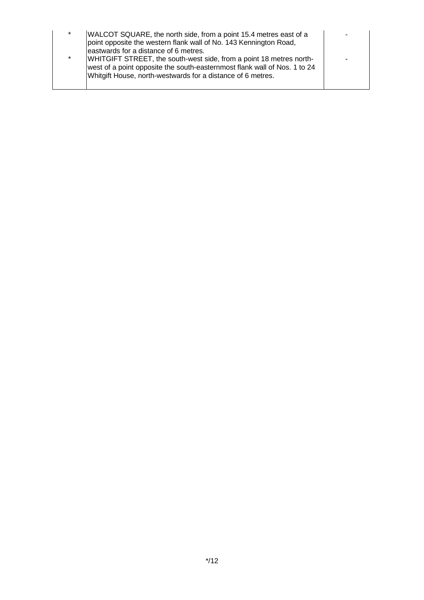| $\ast$  | WALCOT SQUARE, the north side, from a point 15.4 metres east of a<br>point opposite the western flank wall of No. 143 Kennington Road,<br>eastwards for a distance of 6 metres.                                 |  |
|---------|-----------------------------------------------------------------------------------------------------------------------------------------------------------------------------------------------------------------|--|
| $\star$ | WHITGIFT STREET, the south-west side, from a point 18 metres north-<br>west of a point opposite the south-easternmost flank wall of Nos. 1 to 24<br>Whitgift House, north-westwards for a distance of 6 metres. |  |